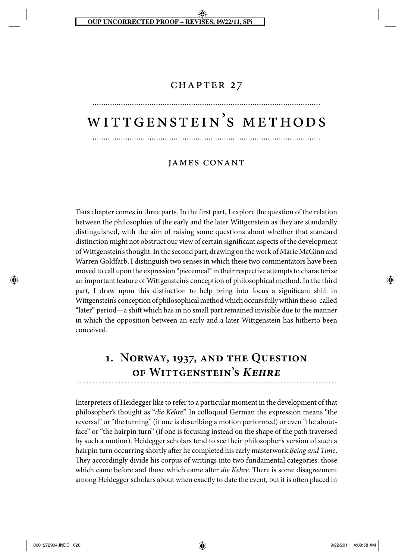### **OUP UNCORRECTED PROOF – REVISES, 09/22/11, SPi**

### CHAPTER 27

# wittgenstein's methods

#### JAMES CONANT

THIS chapter comes in three parts. In the first part, I explore the question of the relation between the philosophies of the early and the later Wittgenstein as they are standardly distinguished, with the aim of raising some questions about whether that standard distinction might not obstruct our view of certain significant aspects of the development of Wittgenstein's thought. In the second part, drawing on the work of Marie McGinn and Warren Goldfarb, I distinguish two senses in which these two commentators have been moved to call upon the expression "piecemeal" in their respective attempts to characterize an important feature of Wittgenstein's conception of philosophical method. In the third part, I draw upon this distinction to help bring into focus a significant shift in Wittgenstein's conception of philosophical method which occurs fully within the so-called "later" period—a shift which has in no small part remained invisible due to the manner in which the opposition between an early and a later Wittgenstein has hitherto been conceived.

# **1. Norway, 1937, and the Question of Wittgenstein's** *Kehre*

 Interpreters of Heidegger like to refer to a particular moment in the development of that philosopher's thought as " *die Kehre* ". In colloquial German the expression means "the reversal" or "the turning" (if one is describing a motion performed) or even "the aboutface" or "the hairpin turn" (if one is focusing instead on the shape of the path traversed by such a motion). Heidegger scholars tend to see their philosopher's version of such a hairpin turn occurring shortly after he completed his early masterwork *Being and Time*. They accordingly divide his corpus of writings into two fundamental categories: those which came before and those which came after *die Kehre*. There is some disagreement among Heidegger scholars about when exactly to date the event, but it is often placed in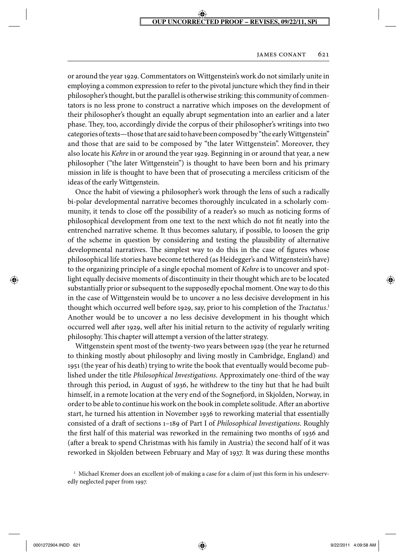#### JAMES CONANT 621

or around the year 1929. Commentators on Wittgenstein's work do not similarly unite in employing a common expression to refer to the pivotal juncture which they find in their philosopher's thought, but the parallel is otherwise striking: this community of commentators is no less prone to construct a narrative which imposes on the development of their philosopher's thought an equally abrupt segmentation into an earlier and a later phase. They, too, accordingly divide the corpus of their philosopher's writings into two categories of texts—those that are said to have been composed by "the early Wittgenstein" and those that are said to be composed by "the later Wittgenstein". Moreover, they also locate his *Kehre* in or around the year 1929. Beginning in or around that year, a new philosopher ("the later Wittgenstein") is thought to have been born and his primary mission in life is thought to have been that of prosecuting a merciless criticism of the ideas of the early Wittgenstein.

 Once the habit of viewing a philosopher's work through the lens of such a radically bi-polar developmental narrative becomes thoroughly inculcated in a scholarly community, it tends to close off the possibility of a reader's so much as noticing forms of philosophical development from one text to the next which do not fi t neatly into the entrenched narrative scheme. It thus becomes salutary, if possible, to loosen the grip of the scheme in question by considering and testing the plausibility of alternative developmental narratives. The simplest way to do this in the case of figures whose philosophical life stories have become tethered (as Heidegger's and Wittgenstein's have) to the organizing principle of a single epochal moment of *Kehre* is to uncover and spotlight equally decisive moments of discontinuity in their thought which are to be located substantially prior or subsequent to the supposedly epochal moment. One way to do this in the case of Wittgenstein would be to uncover a no less decisive development in his thought which occurred well before 1929, say, prior to his completion of the *Tractatus* . Another would be to uncover a no less decisive development in his thought which occurred well after 1929, well after his initial return to the activity of regularly writing philosophy. This chapter will attempt a version of the latter strategy.

 Wittgenstein spent most of the twenty-two years between 1929 (the year he returned to thinking mostly about philosophy and living mostly in Cambridge, England) and 1951 (the year of his death) trying to write the book that eventually would become published under the title *Philosophical Investigations* . Approximately one-third of the way through this period, in August of 1936, he withdrew to the tiny hut that he had built himself, in a remote location at the very end of the Sognefjord, in Skjolden, Norway, in order to be able to continue his work on the book in complete solitude. After an abortive start, he turned his attention in November 1936 to reworking material that essentially consisted of a draft of sections 1–189 of Part I of *Philosophical Investigations* . Roughly the first half of this material was reworked in the remaining two months of 1936 and (after a break to spend Christmas with his family in Austria) the second half of it was reworked in Skjolden between February and May of 1937. It was during these months

 $^{\rm 1}$  Michael Kremer does an excellent job of making a case for a claim of just this form in his undeservedly neglected paper from 1997 .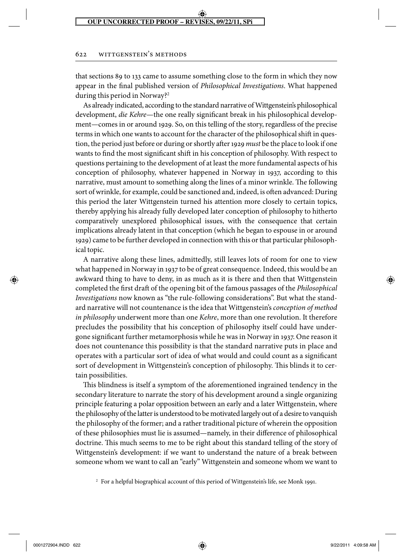#### wittgenstein's methods

that sections 89 to 133 came to assume something close to the form in which they now appear in the final published version of *Philosophical Investigations*. What happened during this period in Norway?

 As already indicated, according to the standard narrative of Wittgenstein's philosophical development, *die Kehre*—the one really significant break in his philosophical development—comes in or around 1929. So, on this telling of the story, regardless of the precise terms in which one wants to account for the character of the philosophical shift in question, the period just before or during or shortly after 1929 *must* be the place to look if one wants to find the most significant shift in his conception of philosophy. With respect to questions pertaining to the development of at least the more fundamental aspects of his conception of philosophy, whatever happened in Norway in 1937, according to this narrative, must amount to something along the lines of a minor wrinkle. The following sort of wrinkle, for example, could be sanctioned and, indeed, is often advanced: During this period the later Wittgenstein turned his attention more closely to certain topics, thereby applying his already fully developed later conception of philosophy to hitherto comparatively unexplored philosophical issues, with the consequence that certain implications already latent in that conception (which he began to espouse in or around 1929) came to be further developed in connection with this or that particular philosophical topic.

 A narrative along these lines, admittedly, still leaves lots of room for one to view what happened in Norway in 1937 to be of great consequence. Indeed, this would be an awkward thing to have to deny, in as much as it is there and then that Wittgenstein completed the first draft of the opening bit of the famous passages of the *Philosophical Investigations* now known as "the rule-following considerations". But what the standard narrative will not countenance is the idea that Wittgenstein's *conception of method in philosophy* underwent more than one *Kehre* , more than one revolution. It therefore precludes the possibility that his conception of philosophy itself could have undergone significant further metamorphosis while he was in Norway in 1937. One reason it does not countenance this possibility is that the standard narrative puts in place and operates with a particular sort of idea of what would and could count as a significant sort of development in Wittgenstein's conception of philosophy. This blinds it to certain possibilities.

This blindness is itself a symptom of the aforementioned ingrained tendency in the secondary literature to narrate the story of his development around a single organizing principle featuring a polar opposition between an early and a later Wittgenstein, where the philosophy of the latter is understood to be motivated largely out of a desire to vanquish the philosophy of the former; and a rather traditional picture of wherein the opposition of these philosophies must lie is assumed—namely, in their difference of philosophical doctrine. This much seems to me to be right about this standard telling of the story of Wittgenstein's development: if we want to understand the nature of a break between someone whom we want to call an "early" Wittgenstein and someone whom we want to

<sup>2</sup> For a helpful biographical account of this period of Wittgenstein's life, see Monk 1991.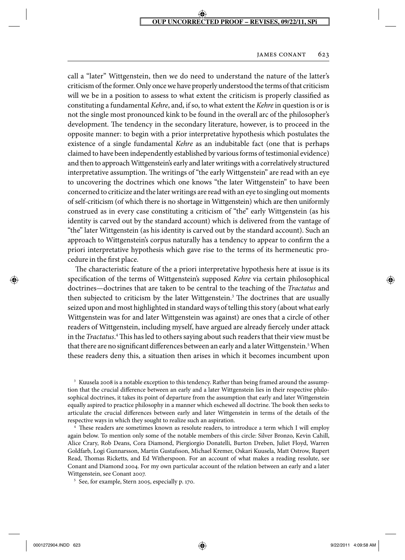#### JAMES CONANT 623

call a "later" Wittgenstein, then we do need to understand the nature of the latter's criticism of the former. Only once we have properly understood the terms of that criticism will we be in a position to assess to what extent the criticism is properly classified as constituting a fundamental *Kehre* , and, if so, to what extent the *Kehre* in question is or is not the single most pronounced kink to be found in the overall arc of the philosopher's development. The tendency in the secondary literature, however, is to proceed in the opposite manner: to begin with a prior interpretative hypothesis which postulates the existence of a single fundamental *Kehre* as an indubitable fact (one that is perhaps claimed to have been independently established by various forms of testimonial evidence) and then to approach Wittgenstein's early and later writings with a correlatively structured interpretative assumption. The writings of "the early Wittgenstein" are read with an eye to uncovering the doctrines which one knows "the later Wittgenstein" to have been concerned to criticize and the later writings are read with an eye to singling out moments of self-criticism (of which there is no shortage in Wittgenstein) which are then uniformly construed as in every case constituting a criticism of "the" early Wittgenstein (as his identity is carved out by the standard account) which is delivered from the vantage of "the" later Wittgenstein (as his identity is carved out by the standard account). Such an approach to Wittgenstein's corpus naturally has a tendency to appear to confirm the a priori interpretative hypothesis which gave rise to the terms of its hermeneutic procedure in the first place.

The characteristic feature of the a priori interpretative hypothesis here at issue is its specification of the terms of Wittgenstein's supposed *Kehre* via certain philosophical doctrines—doctrines that are taken to be central to the teaching of the *Tractatus* and then subjected to criticism by the later Wittgenstein.<sup>3</sup> The doctrines that are usually seized upon and most highlighted in standard ways of telling this story (about what early Wittgenstein was for and later Wittgenstein was against) are ones that a circle of other readers of Wittgenstein, including myself, have argued are already fiercely under attack in the *Tractatus*.<sup>4</sup> This has led to others saying about such readers that their view must be that there are no significant differences between an early and a later Wittgenstein.<sup>5</sup> When these readers deny this, a situation then arises in which it becomes incumbent upon

 $^{\rm 3} \,$  Kuusela 2008 is a notable exception to this tendency. Rather than being framed around the assumption that the crucial difference between an early and a later Wittgenstein lies in their respective philosophical doctrines, it takes its point of departure from the assumption that early and later Wittgenstein equally aspired to practice philosophy in a manner which eschewed all doctrine. The book then seeks to articulate the crucial differences between early and later Wittgenstein in terms of the details of the respective ways in which they sought to realize such an aspiration.

<sup>4</sup> These readers are sometimes known as resolute readers, to introduce a term which I will employ again below. To mention only some of the notable members of this circle: Silver Bronzo, Kevin Cahill, Alice Crary, Rob Deans, Cora Diamond, Piergiorgio Donatelli, Burton Dreben, Juliet Floyd, Warren Goldfarb, Logi Gunnarsson, Martin Gustafsson, Michael Kremer, Oskari Kuusela, Matt Ostrow, Rupert Read, Thomas Ricketts, and Ed Witherspoon. For an account of what makes a reading resolute, see Conant and Diamond 2004 . For my own particular account of the relation between an early and a later Wittgenstein, see Conant 2007.

<sup>5</sup> See, for example, Stern 2005, especially p. 170.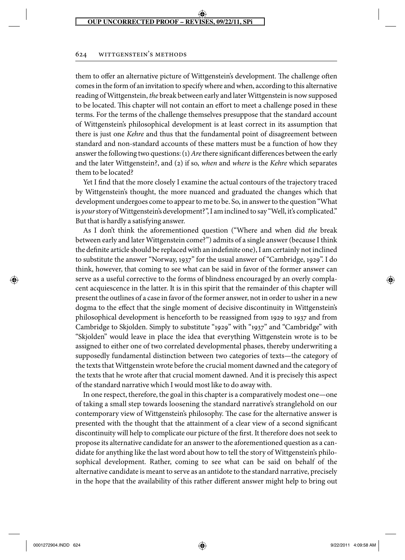them to offer an alternative picture of Wittgenstein's development. The challenge often comes in the form of an invitation to specify where and when, according to this alternative reading of Wittgenstein, *the* break between early and later Wittgenstein is now supposed to be located. This chapter will not contain an effort to meet a challenge posed in these terms. For the terms of the challenge themselves presuppose that the standard account of Wittgenstein's philosophical development is at least correct in its assumption that there is just one *Kehre* and thus that the fundamental point of disagreement between standard and non-standard accounts of these matters must be a function of how they answer the following two questions: (1) *Are* there significant differences between the early and the later Wittgenstein?, and (2) if so, *when* and *where* is the *Kehre* which separates them to be located?

Yet I find that the more closely I examine the actual contours of the trajectory traced by Wittgenstein's thought, the more nuanced and graduated the changes which that development undergoes come to appear to me to be. So, in answer to the question "What is *your* story of Wittgenstein's development?", I am inclined to say "Well, it's complicated." But that is hardly a satisfying answer.

 As I don't think the aforementioned question ("Where and when did *the* break between early and later Wittgenstein come?") admits of a single answer (because I think the definite article should be replaced with an indefinite one), I am certainly not inclined to substitute the answer "Norway, 1937" for the usual answer of "Cambridge, 1929". I do think, however, that coming to see what can be said in favor of the former answer can serve as a useful corrective to the forms of blindness encouraged by an overly complacent acquiescence in the latter. It is in this spirit that the remainder of this chapter will present the outlines of a case in favor of the former answer, not in order to usher in a new dogma to the effect that the single moment of decisive discontinuity in Wittgenstein's philosophical development is henceforth to be reassigned from 1929 to 1937 and from Cambridge to Skjolden. Simply to substitute "1929" with "1937" and "Cambridge" with "Skjolden" would leave in place the idea that everything Wittgenstein wrote is to be assigned to either one of two correlated developmental phases, thereby underwriting a supposedly fundamental distinction between two categories of texts—the category of the texts that Wittgenstein wrote before the crucial moment dawned and the category of the texts that he wrote after that crucial moment dawned. And it is precisely this aspect of the standard narrative which I would most like to do away with.

 In one respect, therefore, the goal in this chapter is a comparatively modest one—one of taking a small step towards loosening the standard narrative's stranglehold on our contemporary view of Wittgenstein's philosophy. The case for the alternative answer is presented with the thought that the attainment of a clear view of a second significant discontinuity will help to complicate our picture of the first. It therefore does not seek to propose its alternative candidate for an answer to the aforementioned question as a candidate for anything like the last word about how to tell the story of Wittgenstein's philosophical development. Rather, coming to see what can be said on behalf of the alternative candidate is meant to serve as an antidote to the standard narrative, precisely in the hope that the availability of this rather different answer might help to bring out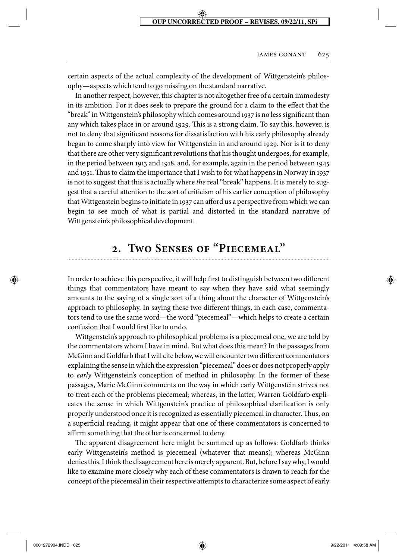certain aspects of the actual complexity of the development of Wittgenstein's philosophy—aspects which tend to go missing on the standard narrative.

 In another respect, however, this chapter is not altogether free of a certain immodesty in its ambition. For it does seek to prepare the ground for a claim to the effect that the "break" in Wittgenstein's philosophy which comes around 1937 is no less significant than any which takes place in or around 1929. This is a strong claim. To say this, however, is not to deny that significant reasons for dissatisfaction with his early philosophy already began to come sharply into view for Wittgenstein in and around 1929. Nor is it to deny that there are other very significant revolutions that his thought undergoes, for example, in the period between 1913 and 1918, and, for example, again in the period between 1945 and 1951. Thus to claim the importance that I wish to for what happens in Norway in 1937 is not to suggest that this is actually where *the* real "break" happens. It is merely to suggest that a careful attention to the sort of criticism of his earlier conception of philosophy that Wittgenstein begins to initiate in 1937 can afford us a perspective from which we can begin to see much of what is partial and distorted in the standard narrative of Wittgenstein's philosophical development.

### **2. Two Senses of "Piecemeal"**

In order to achieve this perspective, it will help first to distinguish between two different things that commentators have meant to say when they have said what seemingly amounts to the saying of a single sort of a thing about the character of Wittgenstein's approach to philosophy. In saying these two different things, in each case, commentators tend to use the same word—the word "piecemeal"—which helps to create a certain confusion that I would first like to undo.

 Wittgenstein's approach to philosophical problems is a piecemeal one, we are told by the commentators whom I have in mind. But what does this mean? In the passages from McGinn and Goldfarb that I will cite below, we will encounter two different commentators explaining the sense in which the expression "piecemeal" does or does not properly apply to *early* Wittgenstein's conception of method in philosophy. In the former of these passages, Marie McGinn comments on the way in which early Wittgenstein strives not to treat each of the problems piecemeal; whereas, in the latter, Warren Goldfarb explicates the sense in which Wittgenstein's practice of philosophical clarification is only properly understood once it is recognized as essentially piecemeal in character. Thus, on a superficial reading, it might appear that one of these commentators is concerned to affirm something that the other is concerned to deny.

The apparent disagreement here might be summed up as follows: Goldfarb thinks early Wittgenstein's method is piecemeal (whatever that means); whereas McGinn denies this. I think the disagreement here is merely apparent. But, before I say why, I would like to examine more closely why each of these commentators is drawn to reach for the concept of the piecemeal in their respective attempts to characterize some aspect of early

↔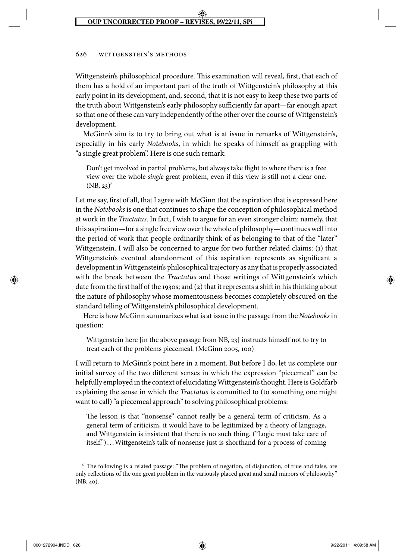#### wittgenstein's methods

Wittgenstein's philosophical procedure. This examination will reveal, first, that each of them has a hold of an important part of the truth of Wittgenstein's philosophy at this early point in its development, and, second, that it is not easy to keep these two parts of the truth about Wittgenstein's early philosophy sufficiently far apart—far enough apart so that one of these can vary independently of the other over the course of Wittgenstein's development.

 McGinn's aim is to try to bring out what is at issue in remarks of Wittgenstein's, especially in his early *Notebooks* , in which he speaks of himself as grappling with "a single great problem". Here is one such remark:

Don't get involved in partial problems, but always take flight to where there is a free view over the whole *single* great problem, even if this view is still not a clear one.  $(NB, 23)^6$ 

Let me say, first of all, that I agree with McGinn that the aspiration that is expressed here in the *Notebooks* is one that continues to shape the conception of philosophical method at work in the *Tractatus* . In fact, I wish to argue for an even stronger claim: namely, that this aspiration—for a single free view over the whole of philosophy—continues well into the period of work that people ordinarily think of as belonging to that of the "later" Wittgenstein. I will also be concerned to argue for two further related claims: (1) that Wittgenstein's eventual abandonment of this aspiration represents as significant a development in Wittgenstein's philosophical trajectory as any that is properly associated with the break between the *Tractatus* and those writings of Wittgenstein's which date from the first half of the 1930s; and  $(2)$  that it represents a shift in his thinking about the nature of philosophy whose momentousness becomes completely obscured on the standard telling of Wittgenstein's philosophical development.

 Here is how McGinn summarizes what is at issue in the passage from the *Notebooks* in question:

 Wittgenstein here [in the above passage from NB, 23] instructs himself not to try to treat each of the problems piecemeal. (McGinn 2005, 100)

 I will return to McGinn's point here in a moment. But before I do, let us complete our initial survey of the two different senses in which the expression "piecemeal" can be helpfully employed in the context of elucidating Wittgenstein's thought. Here is Goldfarb explaining the sense in which the *Tractatus* is committed to (to something one might want to call) "a piecemeal approach" to solving philosophical problems:

The lesson is that "nonsense" cannot really be a general term of criticism. As a general term of criticism, it would have to be legitimized by a theory of language, and Wittgenstein is insistent that there is no such thing. ("Logic must take care of itself.")... Wittgenstein's talk of nonsense just is shorthand for a process of coming

 $6\,$  The following is a related passage: "The problem of negation, of disjunction, of true and false, are only reflections of the one great problem in the variously placed great and small mirrors of philosophy" (NB, 40).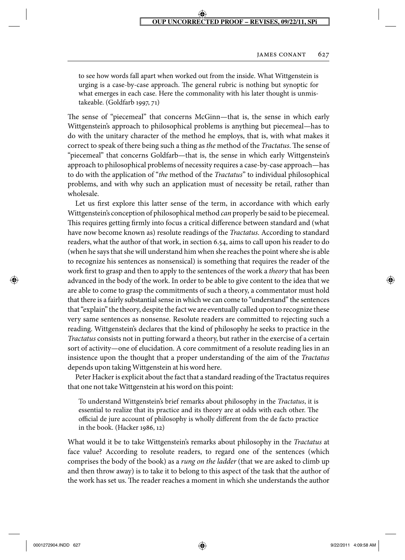to see how words fall apart when worked out from the inside. What Wittgenstein is urging is a case-by-case approach. The general rubric is nothing but synoptic for what emerges in each case. Here the commonality with his later thought is unmistakeable. (Goldfarb 1997 , 71)

**OUP UNCORRECTED PROOF – REVISES, 09/22/11, SPi**

The sense of "piecemeal" that concerns McGinn—that is, the sense in which early Wittgenstein's approach to philosophical problems is anything but piecemeal—has to do with the unitary character of the method he employs, that is, with what makes it correct to speak of there being such a thing as *the* method of the *Tractatus*. The sense of "piecemeal" that concerns Goldfarb—that is, the sense in which early Wittgenstein's approach to philosophical problems of necessity requires a case-by-case approach—has to do with the application of " *the* method of the *Tractatus* " to individual philosophical problems, and with why such an application must of necessity be retail, rather than wholesale.

Let us first explore this latter sense of the term, in accordance with which early Wittgenstein's conception of philosophical method *can* properly be said to be piecemeal. This requires getting firmly into focus a critical difference between standard and (what have now become known as) resolute readings of the *Tractatus* . According to standard readers, what the author of that work, in section 6.54, aims to call upon his reader to do (when he says that she will understand him when she reaches the point where she is able to recognize his sentences as nonsensical) is something that requires the reader of the work first to grasp and then to apply to the sentences of the work a *theory* that has been advanced in the body of the work. In order to be able to give content to the idea that we are able to come to grasp the commitments of such a theory, a commentator must hold that there is a fairly substantial sense in which we can come to "understand" the sentences that "explain" the theory, despite the fact we are eventually called upon to recognize these very same sentences as nonsense. Resolute readers are committed to rejecting such a reading. Wittgenstein's declares that the kind of philosophy he seeks to practice in the *Tractatus* consists not in putting forward a theory, but rather in the exercise of a certain sort of activity—one of elucidation. A core commitment of a resolute reading lies in an insistence upon the thought that a proper understanding of the aim of the *Tractatus* depends upon taking Wittgenstein at his word here.

 Peter Hacker is explicit about the fact that a standard reading of the Tractatus requires that one not take Wittgenstein at his word on this point:

 To understand Wittgenstein's brief remarks about philosophy in the *Tractatus* , it is essential to realize that its practice and its theory are at odds with each other. The official de jure account of philosophy is wholly different from the de facto practice in the book. (Hacker 1986, 12)

 What would it be to take Wittgenstein's remarks about philosophy in the *Tractatus* at face value? According to resolute readers, to regard one of the sentences (which comprises the body of the book) as a *rung on the ladder* (that we are asked to climb up and then throw away) is to take it to belong to this aspect of the task that the author of the work has set us. The reader reaches a moment in which she understands the author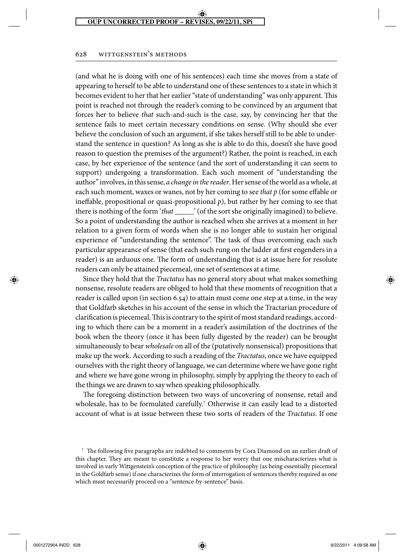#### wittgenstein's methods

(and what he is doing with one of his sentences) each time she moves from a state of appearing to herself to be able to understand one of these sentences to a state in which it becomes evident to her that her earlier "state of understanding" was only apparent. This point is reached not through the reader's coming to be convinced by an argument that forces her to believe *that* such-and-such is the case, say, by convincing her that the sentence fails to meet certain necessary conditions on sense. (Why should she ever believe the conclusion of such an argument, if she takes herself still to be able to understand the sentence in question? As long as she is able to do this, doesn't she have good reason to question the premises of the argument?) Rather, the point is reached, in each case, by her experience of the sentence (and the sort of understanding it can seem to support) undergoing a transformation. Each such moment of "understanding the author" involves, in this sense, *a change in the reader* . Her sense of the world as a whole, at each such moment, waxes or wanes, not by her coming to see *that*  $p$  (for some effable or ineffable, propositional or quasi-propositional  $p$ ), but rather by her coming to see that there is nothing of the form '*that* \_\_\_\_\_' (of the sort she originally imagined) to believe. So a point of understanding the author is reached when she arrives at a moment in her relation to a given form of words when she is no longer able to sustain her original experience of "understanding the sentence". The task of thus overcoming each such particular appearance of sense (that each such rung on the ladder at first engenders in a reader) is an arduous one. The form of understanding that is at issue here for resolute readers can only be attained piecemeal, one set of sentences at a time.

 Since they hold that the *Tractatus* has no general story about what makes something nonsense, resolute readers are obliged to hold that these moments of recognition that a reader is called upon (in section 6.54) to attain must come one step at a time, in the way that Goldfarb sketches in his account of the sense in which the Tractarian procedure of clarification is piecemeal. This is contrary to the spirit of most standard readings, according to which there can be a moment in a reader's assimilation of the doctrines of the book when the theory (once it has been fully digested by the reader) can be brought simultaneously to bear *wholesale* on all of the (putatively nonsensical) propositions that make up the work. According to such a reading of the *Tractatus* , once we have equipped ourselves with the right theory of language, we can determine where we have gone right and where we have gone wrong in philosophy, simply by applying the theory to each of the things we are drawn to say when speaking philosophically.

The foregoing distinction between two ways of uncovering of nonsense, retail and wholesale, has to be formulated carefully.<sup>7</sup> Otherwise it can easily lead to a distorted account of what is at issue between these two sorts of readers of the *Tractatus* . If one

 $^\tau$  The following five paragraphs are indebted to comments by Cora Diamond on an earlier draft of this chapter. They are meant to constitute a response to her worry that one mischaracterizes what is involved in early Wittgenstein's conception of the practice of philosophy (as being essentially piecemeal in the Goldfarb sense) if one characterizes the form of interrogation of sentences thereby required as one which must necessarily proceed on a "sentence-by-sentence" basis.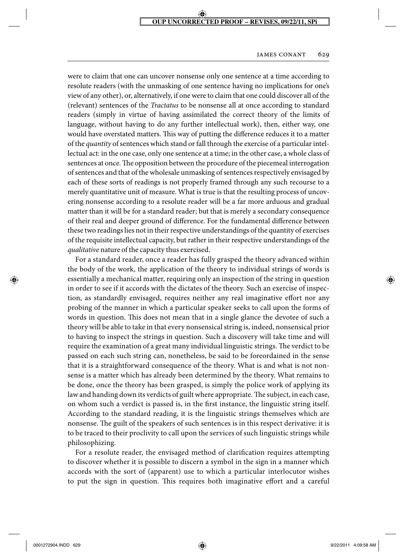#### james conant

were to claim that one can uncover nonsense only one sentence at a time according to resolute readers (with the unmasking of one sentence having no implications for one's view of any other), or, alternatively, if one were to claim that one could discover all of the (relevant) sentences of the *Tractatus* to be nonsense all at once according to standard readers (simply in virtue of having assimilated the correct theory of the limits of language, without having to do any further intellectual work), then, either way, one would have overstated matters. This way of putting the difference reduces it to a matter of the *quantity* of sentences which stand or fall through the exercise of a particular intellectual act: in the one case, only one sentence at a time; in the other case, a whole class of sentences at once. The opposition between the procedure of the piecemeal interrogation of sentences and that of the wholesale unmasking of sentences respectively envisaged by each of these sorts of readings is not properly framed through any such recourse to a merely quantitative unit of measure. What is true is that the resulting process of uncovering nonsense according to a resolute reader will be a far more arduous and gradual matter than it will be for a standard reader; but that is merely a secondary consequence of their real and deeper ground of difference. For the fundamental difference between these two readings lies not in their respective understandings of the quantity of exercises of the requisite intellectual capacity, but rather in their respective understandings of the *qualitative* nature of the capacity thus exercised.

 For a standard reader, once a reader has fully grasped the theory advanced within the body of the work, the application of the theory to individual strings of words is essentially a mechanical matter, requiring only an inspection of the string in question in order to see if it accords with the dictates of the theory. Such an exercise of inspection, as standardly envisaged, requires neither any real imaginative effort nor any probing of the manner in which a particular speaker seeks to call upon the forms of words in question. This does not mean that in a single glance the devotee of such a theory will be able to take in that every nonsensical string is, indeed, nonsensical prior to having to inspect the strings in question. Such a discovery will take time and will require the examination of a great many individual linguistic strings. The verdict to be passed on each such string can, nonetheless, be said to be foreordained in the sense that it is a straightforward consequence of the theory. What is and what is not nonsense is a matter which has already been determined by the theory. What remains to be done, once the theory has been grasped, is simply the police work of applying its law and handing down its verdicts of guilt where appropriate. The subject, in each case, on whom such a verdict is passed is, in the first instance, the linguistic string itself. According to the standard reading, it is the linguistic strings themselves which are nonsense. The guilt of the speakers of such sentences is in this respect derivative: it is to be traced to their proclivity to call upon the services of such linguistic strings while philosophizing.

For a resolute reader, the envisaged method of clarification requires attempting to discover whether it is possible to discern a symbol in the sign in a manner which accords with the sort of (apparent) use to which a particular interlocutor wishes to put the sign in question. This requires both imaginative effort and a careful

⊕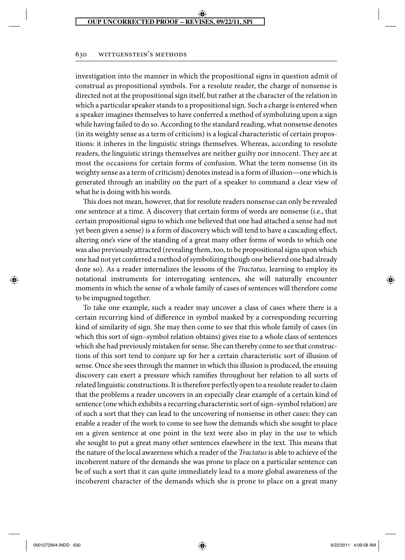investigation into the manner in which the propositional signs in question admit of construal as propositional symbols. For a resolute reader, the charge of nonsense is directed not at the propositional sign itself, but rather at the character of the relation in which a particular speaker stands to a propositional sign. Such a charge is entered when a speaker imagines themselves to have conferred a method of symbolizing upon a sign while having failed to do so. According to the standard reading, what nonsense denotes (in its weighty sense as a term of criticism) is a logical characteristic of certain propositions: it inheres in the linguistic strings themselves. Whereas, according to resolute readers, the linguistic strings themselves are neither guilty nor innocent. They are at most the occasions for certain forms of confusion. What the term nonsense (in its weighty sense as a term of criticism) denotes instead is a form of illusion—one which is generated through an inability on the part of a speaker to command a clear view of what he is doing with his words.

This does not mean, however, that for resolute readers nonsense can only be revealed one sentence at a time. A discovery that certain forms of words are nonsense (i.e., that certain propositional signs to which one believed that one had attached a sense had not yet been given a sense) is a form of discovery which will tend to have a cascading effect, altering one's view of the standing of a great many other forms of words to which one was also previously attracted (revealing them, too, to be propositional signs upon which one had not yet conferred a method of symbolizing though one believed one had already done so). As a reader internalizes the lessons of the *Tractatus* , learning to employ its notational instruments for interrogating sentences, she will naturally encounter moments in which the sense of a whole family of cases of sentences will therefore come to be impugned together.

 To take one example, such a reader may uncover a class of cases where there is a certain recurring kind of difference in symbol masked by a corresponding recurring kind of similarity of sign. She may then come to see that this whole family of cases (in which this sort of sign–symbol relation obtains) gives rise to a whole class of sentences which she had previously mistaken for sense. She can thereby come to see that constructions of this sort tend to conjure up for her a certain characteristic sort of illusion of sense. Once she sees through the manner in which this illusion is produced, the ensuing discovery can exert a pressure which ramifies throughout her relation to all sorts of related linguistic constructions. It is therefore perfectly open to a resolute reader to claim that the problems a reader uncovers in an especially clear example of a certain kind of sentence (one which exhibits a recurring characteristic sort of sign–symbol relation) are of such a sort that they can lead to the uncovering of nonsense in other cases: they can enable a reader of the work to come to see how the demands which she sought to place on a given sentence at one point in the text were also in play in the use to which she sought to put a great many other sentences elsewhere in the text. This means that the nature of the local awareness which a reader of the *Tractatus* is able to achieve of the incoherent nature of the demands she was prone to place on a particular sentence can be of such a sort that it can quite immediately lead to a more global awareness of the incoherent character of the demands which she is prone to place on a great many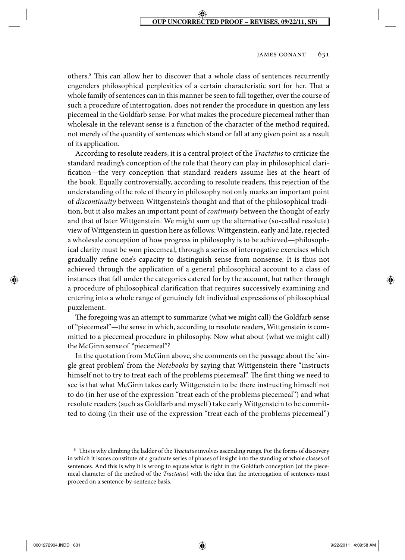**OUP UNCORRECTED PROOF – REVISES, 09/22/11, SPi**

#### JAMES CONANT 631

others.<sup>8</sup> This can allow her to discover that a whole class of sentences recurrently engenders philosophical perplexities of a certain characteristic sort for her. That a whole family of sentences can in this manner be seen to fall together, over the course of such a procedure of interrogation, does not render the procedure in question any less piecemeal in the Goldfarb sense. For what makes the procedure piecemeal rather than wholesale in the relevant sense is a function of the character of the method required, not merely of the quantity of sentences which stand or fall at any given point as a result of its application.

 According to resolute readers, it is a central project of the *Tractatus* to criticize the standard reading's conception of the role that theory can play in philosophical clarification—the very conception that standard readers assume lies at the heart of the book. Equally controversially, according to resolute readers, this rejection of the understanding of the role of theory in philosophy not only marks an important point of *discontinuity* between Wittgenstein's thought and that of the philosophical tradition, but it also makes an important point of *continuity* between the thought of early and that of later Wittgenstein. We might sum up the alternative (so-called resolute) view of Wittgenstein in question here as follows: Wittgenstein, early and late, rejected a wholesale conception of how progress in philosophy is to be achieved—philosophical clarity must be won piecemeal, through a series of interrogative exercises which gradually refine one's capacity to distinguish sense from nonsense. It is thus not achieved through the application of a general philosophical account to a class of instances that fall under the categories catered for by the account, but rather through a procedure of philosophical clarification that requires successively examining and entering into a whole range of genuinely felt individual expressions of philosophical puzzlement.

The foregoing was an attempt to summarize (what we might call) the Goldfarb sense of "piecemeal"—the sense in which, according to resolute readers, Wittgenstein *is* committed to a piecemeal procedure in philosophy. Now what about (what we might call) the McGinn sense of "piecemeal"?

 In the quotation from McGinn above, she comments on the passage about the 'single great problem' from the *Notebooks* by saying that Wittgenstein there "instructs himself not to try to treat each of the problems piecemeal". The first thing we need to see is that what McGinn takes early Wittgenstein to be there instructing himself not to do (in her use of the expression "treat each of the problems piecemeal") and what resolute readers (such as Goldfarb and myself) take early Wittgenstein to be committed to doing (in their use of the expression "treat each of the problems piecemeal")

↔

 $^8$  This is why climbing the ladder of the *Tractatus* involves ascending rungs. For the forms of discovery in which it issues constitute of a graduate series of phases of insight into the standing of whole classes of sentences. And this is why it is wrong to equate what is right in the Goldfarb conception (of the piecemeal character of the method of the *Tractatus*) with the idea that the interrogation of sentences must proceed on a sentence-by-sentence basis.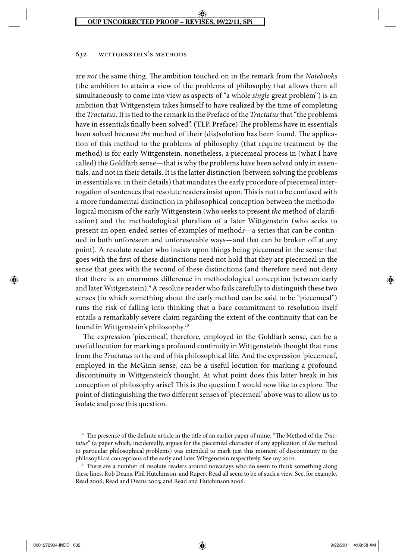are *not* the same thing. The ambition touched on in the remark from the *Notebooks* (the ambition to attain a view of the problems of philosophy that allows them all simultaneously to come into view as aspects of "a whole *single* great problem") is an ambition that Wittgenstein takes himself to have realized by the time of completing the *Tractatus* . It is tied to the remark in the Preface of the *Tractatus* that "the problems have in essentials finally been solved". (TLP, Preface) The problems have in essentials been solved because *the* method of their (dis)solution has been found. The application of this method to the problems of philosophy (that require treatment by the method) is for early Wittgenstein, nonetheless, a piecemeal process in (what I have called) the Goldfarb sense—that is why the problems have been solved only in essentials, and not in their details. It is the latter distinction (between solving the problems in essentials vs. in their details) that mandates the early procedure of piecemeal interrogation of sentences that resolute readers insist upon. This is not to be confused with a more fundamental distinction in philosophical conception between the methodological monism of the early Wittgenstein (who seeks to present *the* method of clarifi cation) and the methodological pluralism of a later Wittgenstein (who seeks to present an open-ended series of examples of methods—a series that can be continued in both unforeseen and unforeseeable ways—and that can be broken off at any point). A resolute reader who insists upon things being piecemeal in the sense that goes with the first of these distinctions need not hold that they are piecemeal in the sense that goes with the second of these distinctions (and therefore need not deny that there is an enormous difference in methodological conception between early and later Wittgenstein).<sup>9</sup> A resolute reader who fails carefully to distinguish these two senses (in which something about the early method can be said to be "piecemeal") runs the risk of falling into thinking that a bare commitment to resolution itself entails a remarkably severe claim regarding the extent of the continuity that can be found in Wittgenstein's philosophy.

The expression 'piecemeal', therefore, employed in the Goldfarb sense, can be a useful locution for marking a profound continuity in Wittgenstein's thought that runs from the *Tractatus* to the end of his philosophical life. And the expression 'piecemeal', employed in the McGinn sense, can be a useful locution for marking a profound discontinuity in Wittgenstein's thought. At what point does this latter break in his conception of philosophy arise? This is the question I would now like to explore. The point of distinguishing the two different senses of 'piecemeal' above was to allow us to isolate and pose this question.

<sup>&</sup>lt;sup>9</sup> The presence of the definite article in the title of an earlier paper of mine, "The Method of the *Tractatus* " (a paper which, incidentally, argues for the piecemeal character of any application of *the* method to particular philosophical problems) was intended to mark just this moment of discontinuity in the philosophical conceptions of the early and later Wittgenstein respectively. See my 2002 .

<sup>&</sup>lt;sup>10</sup> There are a number of resolute readers around nowadays who do seem to think something along these lines. Rob Deans, Phil Hutchinson, and Rupert Read all seem to be of such a view. See, for example, Read 2006; Read and Deans 2003; and Read and Hutchinson 2006.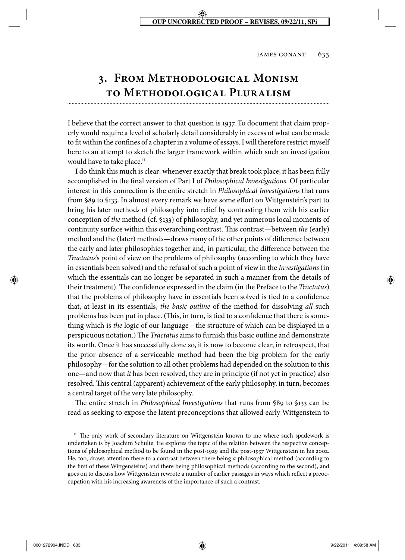**OUP UNCORRECTED PROOF – REVISES, 09/22/11, SPi**

# **3. From Methodological Monism to Methodological Pluralism**

 I believe that the correct answer to that question is 1937. To document that claim properly would require a level of scholarly detail considerably in excess of what can be made to fit within the confines of a chapter in a volume of essays. I will therefore restrict myself here to an attempt to sketch the larger framework within which such an investigation would have to take place.

 I do think this much is clear: whenever exactly that break took place, it has been fully accomplished in the final version of Part I of *Philosophical Investigations*. Of particular interest in this connection is the entire stretch in *Philosophical Investigations* that runs from §89 to §133. In almost every remark we have some effort on Wittgenstein's part to bring his later methods of philosophy into relief by contrasting them with his earlier conception of *the* method (cf. §133) of philosophy, and yet numerous local moments of continuity surface within this overarching contrast. This contrast—between *the* (early) method and the (later) methods—draws many of the other points of difference between the early and later philosophies together and, in particular, the difference between the *Tractatus* 's point of view on the problems of philosophy (according to which they have in essentials been solved) and the refusal of such a point of view in the *Investigations* (in which the essentials can no longer be separated in such a manner from the details of their treatment). The confidence expressed in the claim (in the Preface to the *Tractatus*) that the problems of philosophy have in essentials been solved is tied to a confidence that, at least in its essentials, *the basic outline* of the method for dissolving *all* such problems has been put in place. (This, in turn, is tied to a confidence that there is something which is *the* logic of our language—the structure of which can be displayed in a perspicuous notation.) The *Tractatus* aims to furnish this basic outline and demonstrate its worth. Once it has successfully done so, it is now to become clear, in retrospect, that the prior absence of a serviceable method had been the big problem for the early philosophy—for the solution to all other problems had depended on the solution to this one—and now that *it* has been resolved, they are in principle (if not yet in practice) also resolved. This central (apparent) achievement of the early philosophy, in turn, becomes a central target of the very late philosophy.

The entire stretch in *Philosophical Investigations* that runs from §89 to §133 can be read as seeking to expose the latent preconceptions that allowed early Wittgenstein to

<sup>&</sup>lt;sup>11</sup> The only work of secondary literature on Wittgenstein known to me where such spadework is undertaken is by Joachim Schulte. He explores the topic of the relation between the respective conceptions of philosophical method to be found in the post-1929 and the post-1937 Wittgenstein in his 2002 . He, too, draws attention there to a contrast between there being *a* philosophical method (according to the first of these Wittgensteins) and there being philosophical methods (according to the second), and goes on to discuss how Wittgenstein rewrote a number of earlier passages in ways which reflect a preoccupation with his increasing awareness of the importance of such a contrast.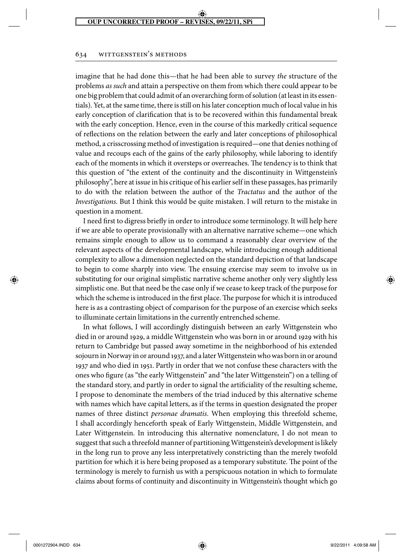imagine that he had done this—that he had been able to survey *the* structure of the problems *as such* and attain a perspective on them from which there could appear to be one big problem that could admit of an overarching form of solution (at least in its essentials). Yet, at the same time, there is still on his later conception much of local value in his early conception of clarification that is to be recovered within this fundamental break with the early conception. Hence, even in the course of this markedly critical sequence of reflections on the relation between the early and later conceptions of philosophical method, a crisscrossing method of investigation is required—one that denies nothing of value and recoups each of the gains of the early philosophy, while laboring to identify each of the moments in which it oversteps or overreaches. The tendency is to think that this question of "the extent of the continuity and the discontinuity in Wittgenstein's philosophy", here at issue in his critique of his earlier self in these passages, has primarily to do with the relation between the author of the *Tractatus* and the author of the *Investigations* . But I think this would be quite mistaken. I will return to the mistake in question in a moment.

I need first to digress briefly in order to introduce some terminology. It will help here if we are able to operate provisionally with an alternative narrative scheme—one which remains simple enough to allow us to command a reasonably clear overview of the relevant aspects of the developmental landscape, while introducing enough additional complexity to allow a dimension neglected on the standard depiction of that landscape to begin to come sharply into view. The ensuing exercise may seem to involve us in substituting for our original simplistic narrative scheme another only very slightly less simplistic one. But that need be the case only if we cease to keep track of the purpose for which the scheme is introduced in the first place. The purpose for which it is introduced here is as a contrasting object of comparison for the purpose of an exercise which seeks to illuminate certain limitations in the currently entrenched scheme.

 In what follows, I will accordingly distinguish between an early Wittgenstein who died in or around 1929, a middle Wittgenstein who was born in or around 1929 with his return to Cambridge but passed away sometime in the neighborhood of his extended sojourn in Norway in or around 1937, and a later Wittgenstein who was born in or around 1937 and who died in 1951. Partly in order that we not confuse these characters with the ones who figure (as "the early Wittgenstein" and "the later Wittgenstein") on a telling of the standard story, and partly in order to signal the artificiality of the resulting scheme, I propose to denominate the members of the triad induced by this alternative scheme with names which have capital letters, as if the terms in question designated the proper names of three distinct *personae dramatis* . When employing this threefold scheme, I shall accordingly henceforth speak of Early Wittgenstein, Middle Wittgenstein, and Later Wittgenstein. In introducing this alternative nomenclature, I do not mean to suggest that such a threefold manner of partitioning Wittgenstein's development is likely in the long run to prove any less interpretatively constricting than the merely twofold partition for which it is here being proposed as a temporary substitute. The point of the terminology is merely to furnish us with a perspicuous notation in which to formulate claims about forms of continuity and discontinuity in Wittgenstein's thought which go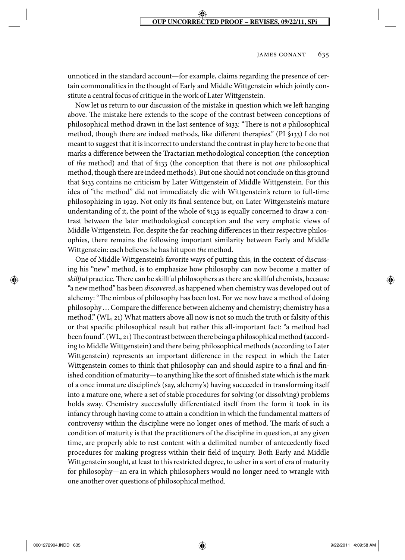unnoticed in the standard account—for example, claims regarding the presence of certain commonalities in the thought of Early and Middle Wittgenstein which jointly constitute a central focus of critique in the work of Later Wittgenstein.

 Now let us return to our discussion of the mistake in question which we left hanging above. The mistake here extends to the scope of the contrast between conceptions of philosophical method drawn in the last sentence of §133: "There is not *a* philosophical method, though there are indeed methods, like different therapies." (PI §133) I do not meant to suggest that it is incorrect to understand the contrast in play here to be one that marks a difference between the Tractarian methodological conception (the conception of *the* method) and that of §133 (the conception that there is not *one* philosophical method, though there are indeed methods). But one should not conclude on this ground that §133 contains no criticism by Later Wittgenstein of Middle Wittgenstein. For this idea of "the method" did not immediately die with Wittgenstein's return to full-time philosophizing in 1929. Not only its final sentence but, on Later Wittgenstein's mature understanding of it, the point of the whole of §133 is equally concerned to draw a contrast between the later methodological conception and the very emphatic views of Middle Wittgenstein. For, despite the far-reaching differences in their respective philosophies, there remains the following important similarity between Early and Middle Wittgenstein: each believes he has hit upon *the* method.

 One of Middle Wittgenstein's favorite ways of putting this, in the context of discussing his "new" method, is to emphasize how philosophy can now become a matter of *skillful* practice. There can be skillful philosophers as there are skillful chemists, because "a new method" has been *discovered* , as happened when chemistry was developed out of alchemy: "The nimbus of philosophy has been lost. For we now have a method of doing philosophy...Compare the difference between alchemy and chemistry; chemistry has a method." (WL, 21) What matters above all now is not so much the truth or falsity of this or that specific philosophical result but rather this all-important fact: "a method had been found". (WL, 21) The contrast between there being a philosophical method (according to Middle Wittgenstein) and there being philosophical methods (according to Later Wittgenstein) represents an important difference in the respect in which the Later Wittgenstein comes to think that philosophy can and should aspire to a final and finished condition of maturity—to anything like the sort of finished state which is the mark of a once immature discipline's (say, alchemy's) having succeeded in transforming itself into a mature one, where a set of stable procedures for solving (or dissolving) problems holds sway. Chemistry successfully differentiated itself from the form it took in its infancy through having come to attain a condition in which the fundamental matters of controversy within the discipline were no longer ones of method. The mark of such a condition of maturity is that the practitioners of the discipline in question, at any given time, are properly able to rest content with a delimited number of antecedently fixed procedures for making progress within their field of inquiry. Both Early and Middle Wittgenstein sought, at least to this restricted degree, to usher in a sort of era of maturity for philosophy—an era in which philosophers would no longer need to wrangle with one another over questions of philosophical method.

⊕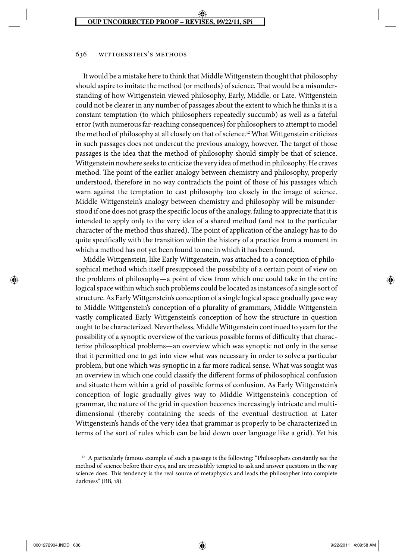It would be a mistake here to think that Middle Wittgenstein thought that philosophy should aspire to imitate the method (or methods) of science. That would be a misunderstanding of how Wittgenstein viewed philosophy, Early, Middle, or Late. Wittgenstein could not be clearer in any number of passages about the extent to which he thinks it is a constant temptation (to which philosophers repeatedly succumb) as well as a fateful error (with numerous far-reaching consequences) for philosophers to attempt to model the method of philosophy at all closely on that of science.<sup>12</sup> What Wittgenstein criticizes in such passages does not undercut the previous analogy, however. The target of those passages is the idea that the method of philosophy should simply be that of science. Wittgenstein nowhere seeks to criticize the very idea of method in philosophy. He craves method. The point of the earlier analogy between chemistry and philosophy, properly understood, therefore in no way contradicts the point of those of his passages which warn against the temptation to cast philosophy too closely in the image of science. Middle Wittgenstein's analogy between chemistry and philosophy will be misunderstood if one does not grasp the specific locus of the analogy, failing to appreciate that it is intended to apply only to the very idea of a shared method (and not to the particular character of the method thus shared). The point of application of the analogy has to do quite specifically with the transition within the history of a practice from a moment in which a method has not yet been found to one in which it has been found.

 Middle Wittgenstein, like Early Wittgenstein, was attached to a conception of philosophical method which itself presupposed the possibility of a certain point of view on the problems of philosophy—a point of view from which one could take in the entire logical space within which such problems could be located as instances of a single sort of structure. As Early Wittgenstein's conception of a single logical space gradually gave way to Middle Wittgenstein's conception of a plurality of grammars, Middle Wittgenstein vastly complicated Early Wittgenstein's conception of how the structure in question ought to be characterized. Nevertheless, Middle Wittgenstein continued to yearn for the possibility of a synoptic overview of the various possible forms of difficulty that characterize philosophical problems—an overview which was synoptic not only in the sense that it permitted one to get into view what was necessary in order to solve a particular problem, but one which was synoptic in a far more radical sense. What was sought was an overview in which one could classify the different forms of philosophical confusion and situate them within a grid of possible forms of confusion. As Early Wittgenstein's conception of logic gradually gives way to Middle Wittgenstein's conception of grammar, the nature of the grid in question becomes increasingly intricate and multidimensional (thereby containing the seeds of the eventual destruction at Later Wittgenstein's hands of the very idea that grammar is properly to be characterized in terms of the sort of rules which can be laid down over language like a grid). Yet his

 $12$  A particularly famous example of such a passage is the following: "Philosophers constantly see the method of science before their eyes, and are irresistibly tempted to ask and answer questions in the way science does. This tendency is the real source of metaphysics and leads the philosopher into complete darkness" (BB, 18).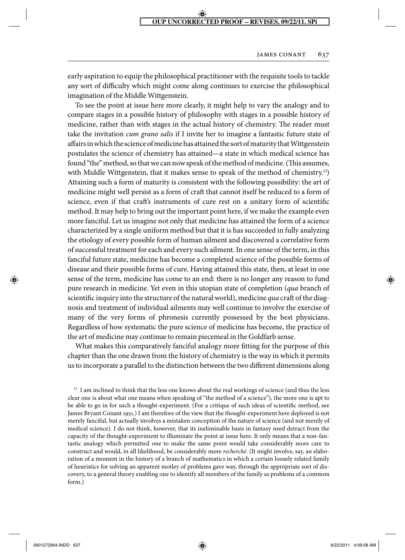early aspiration to equip the philosophical practitioner with the requisite tools to tackle any sort of difficulty which might come along continues to exercise the philosophical imagination of the Middle Wittgenstein.

 To see the point at issue here more clearly, it might help to vary the analogy and to compare stages in a possible history of philosophy with stages in a possible history of medicine, rather than with stages in the actual history of chemistry. The reader must take the invitation *cum grano salis* if I invite her to imagine a fantastic future state of affairs in which the science of medicine has attained the sort of maturity that Wittgenstein postulates the science of chemistry has attained—a state in which medical science has found "the" method, so that we can now speak of the method of medicine. (This assumes, with Middle Wittgenstein, that it makes sense to speak of the method of chemistry.<sup>13</sup>) Attaining such a form of maturity is consistent with the following possibility: the art of medicine might well persist as a form of craft that cannot itself be reduced to a form of science, even if that craft's instruments of cure rest on a unitary form of scientific method. It may help to bring out the important point here, if we make the example even more fanciful. Let us imagine not only that medicine has attained the form of a science characterized by a single uniform method but that it is has succeeded in fully analyzing the etiology of every possible form of human ailment and discovered a correlative form of successful treatment for each and every such ailment. In one sense of the term, in this fanciful future state, medicine has become a completed science of the possible forms of disease and their possible forms of cure. Having attained this state, then, at least in one sense of the term, medicine has come to an end: there is no longer any reason to fund pure research in medicine. Yet even in this utopian state of completion ( *qua* branch of scientific inquiry into the structure of the natural world), medicine *qua* craft of the diagnosis and treatment of individual ailments may well continue to involve the exercise of many of the very forms of phronesis currently possessed by the best physicians. Regardless of how systematic the pure science of medicine has become, the practice of the art of medicine may continue to remain piecemeal in the Goldfarb sense.

What makes this comparatively fanciful analogy more fitting for the purpose of this chapter than the one drawn from the history of chemistry is the way in which it permits us to incorporate a parallel to the distinction between the two different dimensions along

 $13$  I am inclined to think that the less one knows about the real workings of science (and thus the less clear one is about what one means when speaking of "the method of a science"), the more one is apt to be able to go in for such a thought-experiment. (For a critique of such ideas of scientific method, see James Bryant Conant 1951 .) I am therefore of the view that the thought-experiment here deployed is not merely fanciful, but actually involves a mistaken conception of the nature of science (and not merely of medical science). I do not think, however, that its ineliminable basis in fantasy need detract from the capacity of the thought-experiment to illuminate the point at issue here. It only means that a non-fantastic analogy which permitted one to make the same point would take considerably more care to construct and would, in all likelihood, be considerably more *recherché.* (It might involve, say, an elaboration of a moment in the history of a branch of mathematics in which a certain loosely related family of heuristics for solving an apparent motley of problems gave way, through the appropriate sort of discovery, to a general theory enabling one to identify all members of the family as problems of a common form.)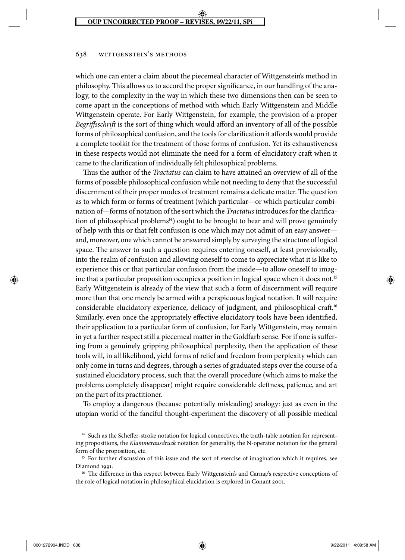which one can enter a claim about the piecemeal character of Wittgenstein's method in philosophy. This allows us to accord the proper significance, in our handling of the analogy, to the complexity in the way in which these two dimensions then can be seen to come apart in the conceptions of method with which Early Wittgenstein and Middle Wittgenstein operate. For Early Wittgenstein, for example, the provision of a proper *Begriffsschrift* is the sort of thing which would afford an inventory of all of the possible forms of philosophical confusion, and the tools for clarification it affords would provide a complete toolkit for the treatment of those forms of confusion. Yet its exhaustiveness in these respects would not eliminate the need for a form of elucidatory craft when it came to the clarification of individually felt philosophical problems.

Thus the author of the *Tractatus* can claim to have attained an overview of all of the forms of possible philosophical confusion while not needing to deny that the successful discernment of their proper modes of treatment remains a delicate matter. The question as to which form or forms of treatment (which particular—or which particular combination of—forms of notation of the sort which the *Tractatus* introduces for the clarification of philosophical problems<sup>14</sup>) ought to be brought to bear and will prove genuinely of help with this or that felt confusion is one which may not admit of an easy answer and, moreover, one which cannot be answered simply by surveying the structure of logical space. The answer to such a question requires entering oneself, at least provisionally, into the realm of confusion and allowing oneself to come to appreciate what it is like to experience this or that particular confusion from the inside—to allow oneself to imagine that a particular proposition occupies a position in logical space when it does not.<sup>15</sup> Early Wittgenstein is already of the view that such a form of discernment will require more than that one merely be armed with a perspicuous logical notation. It will require considerable elucidatory experience, delicacy of judgment, and philosophical craft.<sup>16</sup> Similarly, even once the appropriately effective elucidatory tools have been identified, their application to a particular form of confusion, for Early Wittgenstein, may remain in yet a further respect still a piecemeal matter in the Goldfarb sense. For if one is suffering from a genuinely gripping philosophical perplexity, then the application of these tools will, in all likelihood, yield forms of relief and freedom from perplexity which can only come in turns and degrees, through a series of graduated steps over the course of a sustained elucidatory process, such that the overall procedure (which aims to make the problems completely disappear) might require considerable deftness, patience, and art on the part of its practitioner.

 To employ a dangerous (because potentially misleading) analogy: just as even in the utopian world of the fanciful thought-experiment the discovery of all possible medical

<sup>&</sup>lt;sup>14</sup> Such as the Scheffer-stroke notation for logical connectives, the truth-table notation for representing propositions, the *Klammerausdruck* notation for generality, the N-operator notation for the general form of the proposition, etc.<br><sup>15</sup> For further discussion of this issue and the sort of exercise of imagination which it requires, see

Diamond 1991.<br><sup>16</sup> The difference in this respect between Early Wittgenstein's and Carnap's respective conceptions of

the role of logical notation in philosophical elucidation is explored in Conant 2001.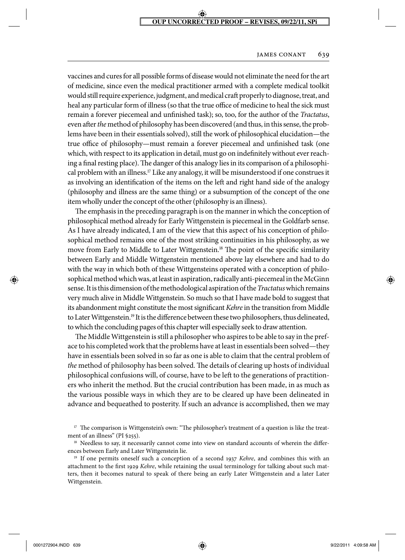#### JAMES CONANT 639

vaccines and cures for all possible forms of disease would not eliminate the need for the art of medicine, since even the medical practitioner armed with a complete medical toolkit would still require experience, judgment, and medical craft properly to diagnose, treat, and heal any particular form of illness (so that the true office of medicine to heal the sick must remain a forever piecemeal and unfinished task); so, too, for the author of the *Tractatus*, even after *the* method of philosophy has been discovered (and thus, in this sense, the problems have been in their essentials solved), still the work of philosophical elucidation—the true office of philosophy—must remain a forever piecemeal and unfinished task (one which, with respect to its application in detail, must go on indefinitely without ever reaching a final resting place). The danger of this analogy lies in its comparison of a philosophical problem with an illness.<sup>17</sup> Like any analogy, it will be misunderstood if one construes it as involving an identification of the items on the left and right hand side of the analogy (philosophy and illness are the same thing) or a subsumption of the concept of the one item wholly under the concept of the other (philosophy is an illness).

The emphasis in the preceding paragraph is on the manner in which the conception of philosophical method already for Early Wittgenstein is piecemeal in the Goldfarb sense. As I have already indicated, I am of the view that this aspect of his conception of philosophical method remains one of the most striking continuities in his philosophy, as we move from Early to Middle to Later Wittgenstein.<sup>18</sup> The point of the specific similarity between Early and Middle Wittgenstein mentioned above lay elsewhere and had to do with the way in which both of these Wittgensteins operated with a conception of philosophical method which was, at least in aspiration, radically anti-piecemeal in the McGinn sense. It is this dimension of the methodological aspiration of the *Tractatus* which remains very much alive in Middle Wittgenstein. So much so that I have made bold to suggest that its abandonment might constitute the most significant *Kehre* in the transition from Middle to Later Wittgenstein.<sup>19</sup> It is the difference between these two philosophers, thus delineated, to which the concluding pages of this chapter will especially seek to draw attention.

The Middle Wittgenstein is still a philosopher who aspires to be able to say in the preface to his completed work that the problems have at least in essentials been solved—they have in essentials been solved in so far as one is able to claim that the central problem of *the* method of philosophy has been solved. The details of clearing up hosts of individual philosophical confusions will, of course, have to be left to the generations of practitioners who inherit the method. But the crucial contribution has been made, in as much as the various possible ways in which they are to be cleared up have been delineated in advance and bequeathed to posterity. If such an advance is accomplished, then we may

 $^{\text{\tiny{\textsf{T}}}}$  The comparison is Wittgenstein's own: "The philosopher's treatment of a question is like the treatment of an illness" (PI §255).<br><sup>18</sup> Needless to say, it necessarily cannot come into view on standard accounts of wherein the differ-

ences between Early and Later Wittgenstein lie.<br><sup>19</sup> If one permits oneself such a conception of a second 1937 *Kehre*, and combines this with an

attachment to the first 1929 *Kehre*, while retaining the usual terminology for talking about such matters, then it becomes natural to speak of there being an early Later Wittgenstein and a later Later Wittgenstein.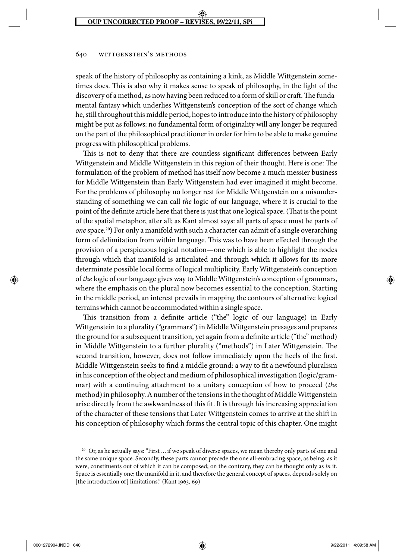speak of the history of philosophy as containing a kink, as Middle Wittgenstein sometimes does. This is also why it makes sense to speak of philosophy, in the light of the discovery of a method, as now having been reduced to a form of skill or craft. The fundamental fantasy which underlies Wittgenstein's conception of the sort of change which he, still throughout this middle period, hopes to introduce into the history of philosophy might be put as follows: no fundamental form of originality will any longer be required on the part of the philosophical practitioner in order for him to be able to make genuine progress with philosophical problems.

This is not to deny that there are countless significant differences between Early Wittgenstein and Middle Wittgenstein in this region of their thought. Here is one: The formulation of the problem of method has itself now become a much messier business for Middle Wittgenstein than Early Wittgenstein had ever imagined it might become. For the problems of philosophy no longer rest for Middle Wittgenstein on a misunderstanding of something we can call *the* logic of our language, where it is crucial to the point of the definite article here that there is just that one logical space. (That is the point of the spatial metaphor, after all; as Kant almost says: all parts of space must be parts of *one* space.<sup>20</sup> For only a manifold with such a character can admit of a single overarching form of delimitation from within language. This was to have been effected through the provision of a perspicuous logical notation—one which is able to highlight the nodes through which that manifold is articulated and through which it allows for its more determinate possible local forms of logical multiplicity. Early Wittgenstein's conception of *the* logic of our language gives way to Middle Wittgenstein's conception of grammar *s* , where the emphasis on the plural now becomes essential to the conception. Starting in the middle period, an interest prevails in mapping the contours of alternative logical terrains which cannot be accommodated within a single space.

This transition from a definite article ("the" logic of our language) in Early Wittgenstein to a plurality ("grammars") in Middle Wittgenstein presages and prepares the ground for a subsequent transition, yet again from a definite article ("the" method) in Middle Wittgenstein to a further plurality ("methods") in Later Wittgenstein. The second transition, however, does not follow immediately upon the heels of the first. Middle Wittgenstein seeks to find a middle ground: a way to fit a newfound pluralism in his conception of the object and medium of philosophical investigation (logic/grammar) with a continuing attachment to a unitary conception of how to proceed ( *the* method) in philosophy. A number of the tensions in the thought of Middle Wittgenstein arise directly from the awkwardness of this fit. It is through his increasing appreciation of the character of these tensions that Later Wittgenstein comes to arrive at the shift in his conception of philosophy which forms the central topic of this chapter. One might

<sup>&</sup>lt;sup>20</sup> Or, as he actually says: "First . . . if we speak of diverse spaces, we mean thereby only parts of one and the same unique space. Secondly, these parts cannot precede the one all-embracing space, as being, as it were, constituents out of which it can be composed; on the contrary, they can be thought only as *in* it. Space is essentially one; the manifold in it, and therefore the general concept of spaces, depends solely on [the introduction of] limitations." (Kant 1963, 69)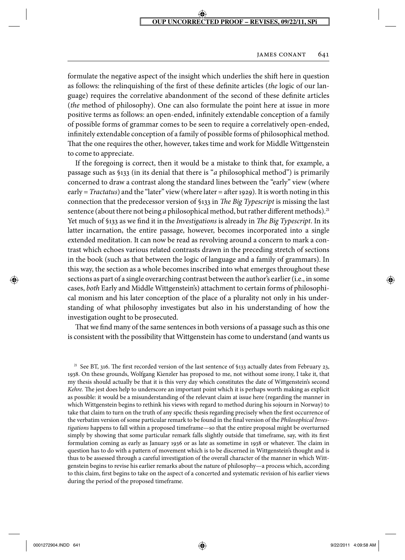## **OUP UNCORRECTED PROOF – REVISES, 09/22/11, SPi**

#### JAMES CONANT 641

formulate the negative aspect of the insight which underlies the shift here in question as follows: the relinquishing of the first of these definite articles (*the* logic of our language) requires the correlative abandonment of the second of these definite articles ( *the* method of philosophy). One can also formulate the point here at issue in more positive terms as follows: an open-ended, infinitely extendable conception of a family of possible forms of grammar comes to be seen to require a correlatively open-ended, infinitely extendable conception of a family of possible forms of philosophical method. That the one requires the other, however, takes time and work for Middle Wittgenstein to come to appreciate.

 If the foregoing is correct, then it would be a mistake to think that, for example, a passage such as §133 (in its denial that there is " *a* philosophical method") is primarily concerned to draw a contrast along the standard lines between the "early" view (where early = *Tractatus*) and the "later" view (where later = after 1929). It is worth noting in this connection that the predecessor version of §133 in *The Big Typescript* is missing the last sentence (about there not being *a* philosophical method, but rather different methods).<sup>21</sup> Yet much of §133 as we find it in the *Investigations* is already in *The Big Typescript*. In its latter incarnation, the entire passage, however, becomes incorporated into a single extended meditation. It can now be read as revolving around a concern to mark a contrast which echoes various related contrasts drawn in the preceding stretch of sections in the book (such as that between the logic of language and a family of grammars). In this way, the section as a whole becomes inscribed into what emerges throughout these sections as part of a single overarching contrast between the author's earlier (i.e., in some cases, *both* Early and Middle Wittgenstein's) attachment to certain forms of philosophical monism and his later conception of the place of a plurality not only in his understanding of what philosophy investigates but also in his understanding of how the investigation ought to be prosecuted.

That we find many of the same sentences in both versions of a passage such as this one is consistent with the possibility that Wittgenstein has come to understand (and wants us

↔

<sup>&</sup>lt;sup>21</sup> See BT, 316. The first recorded version of the last sentence of  $\$\overline{133}$  actually dates from February 23, 1938. On these grounds, Wolfgang Kienzler has proposed to me, not without some irony, I take it, that my thesis should actually be that it is this very day which constitutes the date of Wittgenstein's second *Kehre.* The jest does help to underscore an important point which it is perhaps worth making as explicit as possible: it would be a misunderstanding of the relevant claim at issue here (regarding the manner in which Wittgenstein begins to rethink his views with regard to method during his sojourn in Norway) to take that claim to turn on the truth of any specific thesis regarding precisely when the first occurrence of the verbatim version of some particular remark to be found in the final version of the *Philosophical Investigations* happens to fall within a proposed timeframe—so that the entire proposal might be overturned simply by showing that some particular remark falls slightly outside that timeframe, say, with its first formulation coming as early as January 1936 or as late as sometime in 1938 or whatever. The claim in question has to do with a pattern of movement which is to be discerned in Wittgenstein's thought and is thus to be assessed through a careful investigation of the overall character of the manner in which Wittgenstein begins to revise his earlier remarks about the nature of philosophy—a process which, according to this claim, first begins to take on the aspect of a concerted and systematic revision of his earlier views during the period of the proposed timeframe.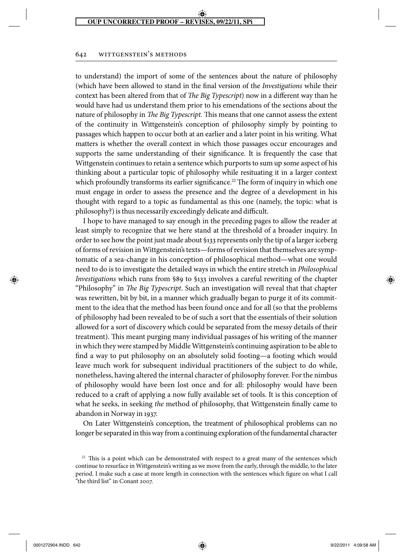to understand) the import of some of the sentences about the nature of philosophy (which have been allowed to stand in the final version of the *Investigations* while their context has been altered from that of *The Big Typescript*) now in a different way than he would have had us understand them prior to his emendations of the sections about the nature of philosophy in *The Big Typescript*. This means that one cannot assess the extent of the continuity in Wittgenstein's conception of philosophy simply by pointing to passages which happen to occur both at an earlier and a later point in his writing. What matters is whether the overall context in which those passages occur encourages and supports the same understanding of their significance. It is frequently the case that Wittgenstein continues to retain a sentence which purports to sum up some aspect of his thinking about a particular topic of philosophy while resituating it in a larger context which profoundly transforms its earlier significance.<sup>22</sup> The form of inquiry in which one must engage in order to assess the presence and the degree of a development in his thought with regard to a topic as fundamental as this one (namely, the topic: what is philosophy?) is thus necessarily exceedingly delicate and difficult.

 I hope to have managed to say enough in the preceding pages to allow the reader at least simply to recognize that we here stand at the threshold of a broader inquiry. In order to see how the point just made about §133 represents only the tip of a larger iceberg of forms of revision in Wittgenstein's texts—forms of revision that themselves are symptomatic of a sea-change in his conception of philosophical method—what one would need to do is to investigate the detailed ways in which the entire stretch in *Philosophical Investigations* which runs from §89 to §133 involves a careful rewriting of the chapter "Philosophy" in *The Big Typescript*. Such an investigation will reveal that that chapter was rewritten, bit by bit, in a manner which gradually began to purge it of its commitment to the idea that the method has been found once and for all (so that the problems of philosophy had been revealed to be of such a sort that the essentials of their solution allowed for a sort of discovery which could be separated from the messy details of their treatment). This meant purging many individual passages of his writing of the manner in which they were stamped by Middle Wittgenstein's continuing aspiration to be able to find a way to put philosophy on an absolutely solid footing—a footing which would leave much work for subsequent individual practitioners of the subject to do while, nonetheless, having altered the internal character of philosophy forever. For the nimbus of philosophy would have been lost once and for all: philosophy would have been reduced to a craft of applying a now fully available set of tools. It is this conception of what he seeks, in seeking *the* method of philosophy, that Wittgenstein finally came to abandon in Norway in 1937.

 On Later Wittgenstein's conception, the treatment of philosophical problems can no longer be separated in this way from a continuing exploration of the fundamental character

 $22$  This is a point which can be demonstrated with respect to a great many of the sentences which continue to resurface in Wittgenstein's writing as we move from the early, through the middle, to the later period. I make such a case at more length in connection with the sentences which figure on what I call "the third list" in Conant 2007 .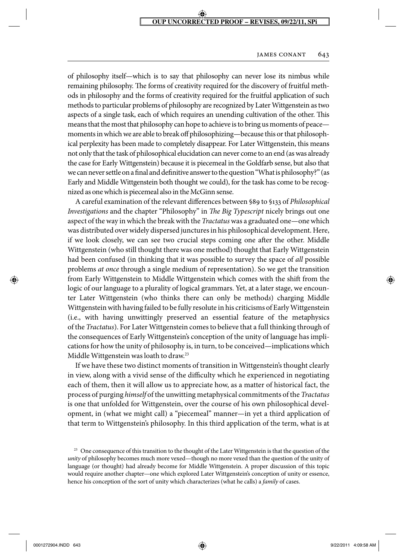#### JAMES CONANT 643

of philosophy itself—which is to say that philosophy can never lose its nimbus while remaining philosophy. The forms of creativity required for the discovery of fruitful methods in philosophy and the forms of creativity required for the fruitful application of such methods to particular problems of philosophy are recognized by Later Wittgenstein as two aspects of a single task, each of which requires an unending cultivation of the other. This means that the most that philosophy can hope to achieve is to bring us moments of peace moments in which we are able to break off philosophizing—because this or that philosophical perplexity has been made to completely disappear. For Later Wittgenstein, this means not only that the task of philosophical elucidation can never come to an end (as was already the case for Early Wittgenstein) because it is piecemeal in the Goldfarb sense, but also that we can never settle on a final and definitive answer to the question "What is philosophy?" (as Early and Middle Wittgenstein both thought we could), for the task has come to be recognized as one which is piecemeal also in the McGinn sense.

 A careful examination of the relevant diff erences between §89 to §133 of *Philosophical Investigations* and the chapter "Philosophy" in *The Big Typescript* nicely brings out one aspect of the way in which the break with the *Tractatus* was a graduated one—one which was distributed over widely dispersed junctures in his philosophical development. Here, if we look closely, we can see two crucial steps coming one after the other. Middle Wittgenstein (who still thought there was one method) thought that Early Wittgenstein had been confused (in thinking that it was possible to survey the space of *all* possible problems *at once* through a single medium of representation). So we get the transition from Early Wittgenstein to Middle Wittgenstein which comes with the shift from the logic of our language to a plurality of logical grammars. Yet, at a later stage, we encounter Later Wittgenstein (who thinks there can only be methods) charging Middle Wittgenstein with having failed to be fully resolute in his criticisms of Early Wittgenstein (i.e., with having unwittingly preserved an essential feature of the metaphysics of the *Tractatus* ). For Later Wittgenstein comes to believe that a full thinking through of the consequences of Early Wittgenstein's conception of the unity of language has implications for how the unity of philosophy is, in turn, to be conceived—implications which Middle Wittgenstein was loath to draw.<sup>23</sup>

 If we have these two distinct moments of transition in Wittgenstein's thought clearly in view, along with a vivid sense of the difficulty which he experienced in negotiating each of them, then it will allow us to appreciate how, as a matter of historical fact, the process of purging *himself* of the unwitting metaphysical commitments of the *Tractatus* is one that unfolded for Wittgenstein, over the course of his own philosophical development, in (what we might call) a "piecemeal" manner—in yet a third application of that term to Wittgenstein's philosophy. In this third application of the term, what is at

<sup>&</sup>lt;sup>23</sup> One consequence of this transition to the thought of the Later Wittgenstein is that the question of the *unity* of philosophy becomes much more vexed—though no more vexed than the question of the unity of language (or thought) had already become for Middle Wittgenstein. A proper discussion of this topic would require another chapter—one which explored Later Wittgenstein's conception of unity or essence, hence his conception of the sort of unity which characterizes (what he calls) a *family* of cases.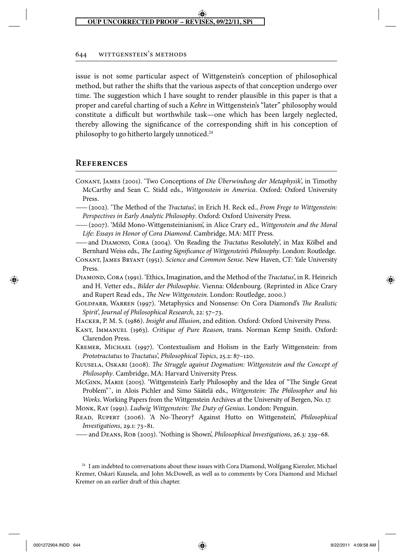issue is not some particular aspect of Wittgenstein's conception of philosophical method, but rather the shifts that the various aspects of that conception undergo over time. The suggestion which I have sought to render plausible in this paper is that a proper and careful charting of such a *Kehre* in Wittgenstein's "later" philosophy would constitute a difficult but worthwhile task—one which has been largely neglected, thereby allowing the significance of the corresponding shift in his conception of philosophy to go hitherto largely unnoticed.

### **References**

- Conant, James (2001). 'Two Conceptions of *Die Überwindung der Metaphysik* ', in Timothy McCarthy and Sean C. Stidd eds., *Wittgenstein in America* . Oxford: Oxford University Press.
- —— (2002). 'Th e Method of the *Tractatus* ', in Erich H. Reck ed., *From Frege to Wittgenstein: Perspectives in Early Analytic Philosophy* . Oxford: Oxford University Press.
- —— (2007). 'Mild Mono-Wittgensteinianism', in Alice Crary ed., *Wittgenstein and the Moral*  Life: Essays in Honor of Cora Diamond. Cambridge, MA: MIT Press.

 —— and Diamond, Cora (2004). 'On Reading the *Tractatus* Resolutely', in Max Kölbel and Bernhard Weiss eds., *The Lasting Significance of Wittgenstein's Philosophy*. London: Routledge.

- Conant, James Bryant (1951). *Science and Common Sense* . New Haven, CT: Yale University Press.
- Diamond, Cora (1991). 'Ethics, Imagination, and the Method of the *Tractatus* ', in R. Heinrich and H. Vetter eds., *Bilder der Philosophie* . Vienna: Oldenbourg. (Reprinted in Alice Crary and Rupert Read eds., *The New Wittgenstein*. London: Routledge, 2000.)
- GOLDFARB, WARREN (1997). 'Metaphysics and Nonsense: On Cora Diamond's *The Realistic Spirit* ', *Journal of Philosophical Research* , 22: 57–73.
- Hacker, P. M. S. (1986). *Insight and Illusion* , 2nd edition. Oxford: Oxford University Press.
- KANT, IMMANUEL (1963). *Critique of Pure Reason*, trans. Norman Kemp Smith. Oxford: Clarendon Press.
- Kremer, Michael (1997). 'Contextualism and Holism in the Early Wittgenstein: from *Prototractatus* to *Tractatus* ', *Philosophical Topics* , 25.2: 87–120.

KUUSELA, OSKARI (2008). *The Struggle against Dogmatism: Wittgenstein and the Concept of Philosophy* . Cambridge, MA: Harvard University Press.

McGINN, MARIE (2005). 'Wittgenstein's Early Philosophy and the Idea of "The Single Great Problem"', in Alois Pichler and Simo Säätelä eds., *Wittgenstein: The Philosopher and his Works* . Working Papers from the Wittgenstein Archives at the University of Bergen, No. 17.

- MONK, RAY (1991). *Ludwig Wittgenstein: The Duty of Genius*. London: Penguin.
- Read, Rupert (2006). 'A No-Th eory? Against Hutto on Wittgenstein', *Philosophical Investigations* , 29.1: 73–81.
- —— and Deans, Rob (2003). 'Nothing is Shown', *Philosophical Investigations* , 26.3: 239–68.

<sup>&</sup>lt;sup>24</sup> I am indebted to conversations about these issues with Cora Diamond, Wolfgang Kienzler, Michael Kremer, Oskari Kuusela, and John McDowell, as well as to comments by Cora Diamond and Michael Kremer on an earlier draft of this chapter.